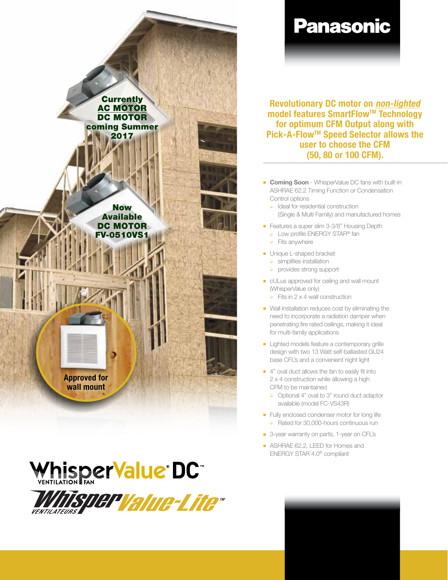





# **Panasonic**

Revolutionary DC motor on non-lighted model features SmartFlow™ Technology for optimum CFM Output along with Pick-A-Flow™ Speed Selector allows the user to choose the CFM (50, 80 or 100 CFM).

- **Coming Soon** WhisperValue DC fans with built-in ASHRAE 62.2 Timing Function or Condensation Control options
	- ❑ Ideal for residential construction (Single & Multi Family) and manufactured homes
- Features a super slim 3-3/8" Housing Depth
	- ❑ Low profile ENERGY STAR® fan
	- ❑ Fits anywhere
- **-** Unique L-shaped bracket
	- ❑ simplifies installation
	- ❑ provides strong support
- **n** cULus approved for ceiling and wall mount (WhisperValue only)
	- $\Box$  Fits in 2 x 4 wall construction
- Wall installation reduces cost by eliminating the need to incorporate a radiation damper when penetrating fire rated ceilings, making it ideal for multi-family applications
- **Example 1** Lighted models feature a contemporary grille design with two 13 Watt self-ballasted GU24 base CFL's and a convenient night light
- $\blacksquare$  4" oval duct allows the fan to easily fit into 2 x 4 construction while allowing a high CFM to be maintained
	- ❑ Optional 4" oval to 3" round duct adaptor available (model FC-VS43R)
- **Fully enclosed condenser motor for long life** ❑ Rated for 30,000-hours continuous run
- 3-year warranty on parts, 1-year on CFL's
- **No. ASHRAE 62.2, LEED for Homes and** ENERGY STAR 4.0® compliant